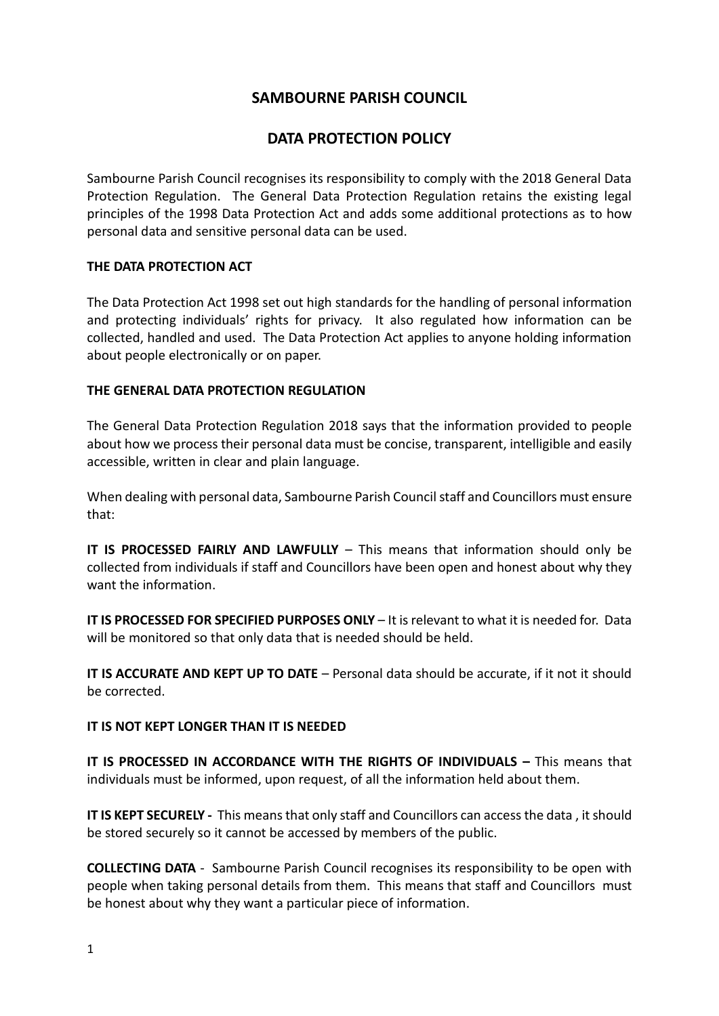## **SAMBOURNE PARISH COUNCIL**

# **DATA PROTECTION POLICY**

Sambourne Parish Council recognises its responsibility to comply with the 2018 General Data Protection Regulation. The General Data Protection Regulation retains the existing legal principles of the 1998 Data Protection Act and adds some additional protections as to how personal data and sensitive personal data can be used.

### **THE DATA PROTECTION ACT**

The Data Protection Act 1998 set out high standards for the handling of personal information and protecting individuals' rights for privacy. It also regulated how information can be collected, handled and used. The Data Protection Act applies to anyone holding information about people electronically or on paper.

### **THE GENERAL DATA PROTECTION REGULATION**

The General Data Protection Regulation 2018 says that the information provided to people about how we process their personal data must be concise, transparent, intelligible and easily accessible, written in clear and plain language.

When dealing with personal data, Sambourne Parish Council staff and Councillors must ensure that:

**IT IS PROCESSED FAIRLY AND LAWFULLY** – This means that information should only be collected from individuals if staff and Councillors have been open and honest about why they want the information.

**IT IS PROCESSED FOR SPECIFIED PURPOSES ONLY** – It is relevant to what it is needed for. Data will be monitored so that only data that is needed should be held.

**IT IS ACCURATE AND KEPT UP TO DATE** – Personal data should be accurate, if it not it should be corrected.

#### **IT IS NOT KEPT LONGER THAN IT IS NEEDED**

**IT IS PROCESSED IN ACCORDANCE WITH THE RIGHTS OF INDIVIDUALS –** This means that individuals must be informed, upon request, of all the information held about them.

**IT IS KEPT SECURELY -** This means that only staff and Councillors can access the data , it should be stored securely so it cannot be accessed by members of the public.

**COLLECTING DATA** - Sambourne Parish Council recognises its responsibility to be open with people when taking personal details from them. This means that staff and Councillors must be honest about why they want a particular piece of information.